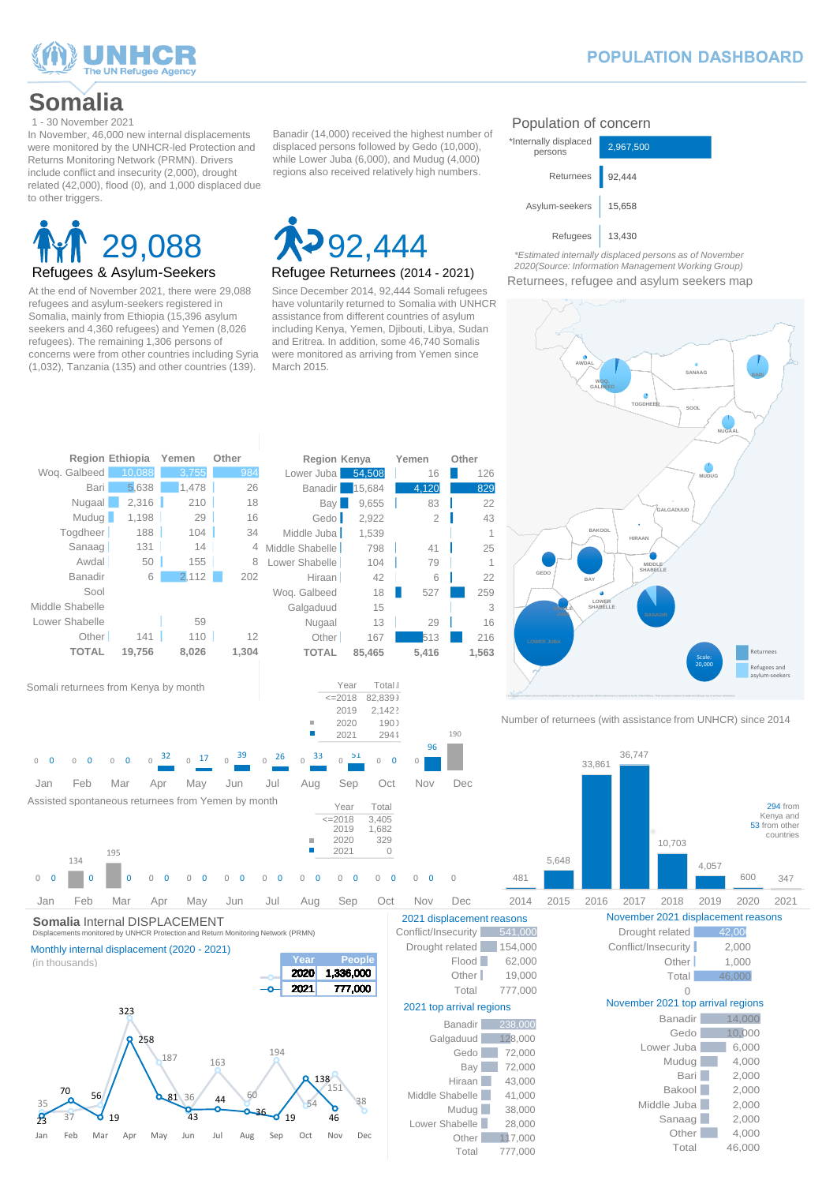

## **POPULATION DASHBOARD**

# Refugees & Asylum-Seekers 29,088



At the end of November 2021, there were 29,088 refugees and asylum-seekers registered in Somalia, mainly from Ethiopia (15,396 asylum seekers and 4,360 refugees) and Yemen (8,026 refugees). The remaining 1,306 persons of concerns were from other countries including Syria (1,032), Tanzania (135) and other countries (139).

#### Since December 2014, 92,444 Somali refugees have voluntarily returned to Somalia with UNHCR assistance from different countries of asylum including Kenya, Yemen, Djibouti, Libya, Sudan and Eritrea. In addition, some 46,740 Somalis were monitored as arriving from Yemen since March 2015.

*2020(Source: Information Management Working Group)* Returnees, refugee and asylum seekers map

**TOGDHEE** 

٠



## Population of concern

Banadir (14,000) received the highest number of displaced persons followed by Gedo (10,000), while Lower Juba (6,000), and Mudug (4,000) regions also received relatively high numbers.

## **Somalia**

Displacements monitored by UNHCR Protection and Return Monitoring Network (PRMN)

35

23

#### Monthly internal displacement (2020 - 2021)

**Year People**

600 347

(in thousands)

In November, 46,000 new internal displacements were monitored by the UNHCR-led Protection and Returns Monitoring Network (PRMN). Drivers include conflict and insecurity (2,000), drought related (42,000), flood (0), and 1,000 displaced due to other triggers.



**AWDAL**

**SANAAG**

**SOOL**

**WOQ. GALBEED**

| Conflict/Insecurity      | 541,000 |  |  |  |
|--------------------------|---------|--|--|--|
| Drought related          | 154,000 |  |  |  |
| Flood                    | 62,000  |  |  |  |
| Other I                  | 19,000  |  |  |  |
| Total                    | 777,000 |  |  |  |
| 2021 top arrival regions |         |  |  |  |
| Banadir                  | 238.000 |  |  |  |
| Galgaduud                | 128,000 |  |  |  |
| Gedo                     | 72,000  |  |  |  |
| Bay                      | 72,000  |  |  |  |
| Hiraan                   | 43,000  |  |  |  |
| Middle Shabelle          | 41,000  |  |  |  |
| Mudug                    | 38,000  |  |  |  |
| Lower Shabelle           | 28,000  |  |  |  |
| Other                    | 117,000 |  |  |  |
| Total                    | 777,000 |  |  |  |

| 541,000 | Drought related                   | 42,00  |
|---------|-----------------------------------|--------|
| 154,000 | Conflict/Insecurity               | 2,000  |
| 62,000  | Other I                           | 1,000  |
| 19,000  | Total                             | 46,000 |
| 777,000 |                                   |        |
| ns      | November 2021 top arrival regions |        |
| 238,000 | <b>Banadir</b>                    | 14,000 |
| 128,000 | Gedo                              | 10,000 |
| 72,000  | Lower Juba                        | 6,000  |
| 72,000  | Mudug                             | 4,000  |
| 43,000  | Bari                              | 2,000  |
| 41,000  | <b>Bakool</b>                     | 2,000  |
| 38,000  | Middle Juba                       | 2,000  |
| 28,000  | Sanaag                            | 2,000  |
| 117,000 | Other                             | 4,000  |
| 777 NNN | Total                             | 46,000 |



Returnees Refugees and and asylum-seekers asylum-seekers

294 from Kenya and 53 from other countries

**GALBEED**

<sup>1 -</sup> 30 November 2021